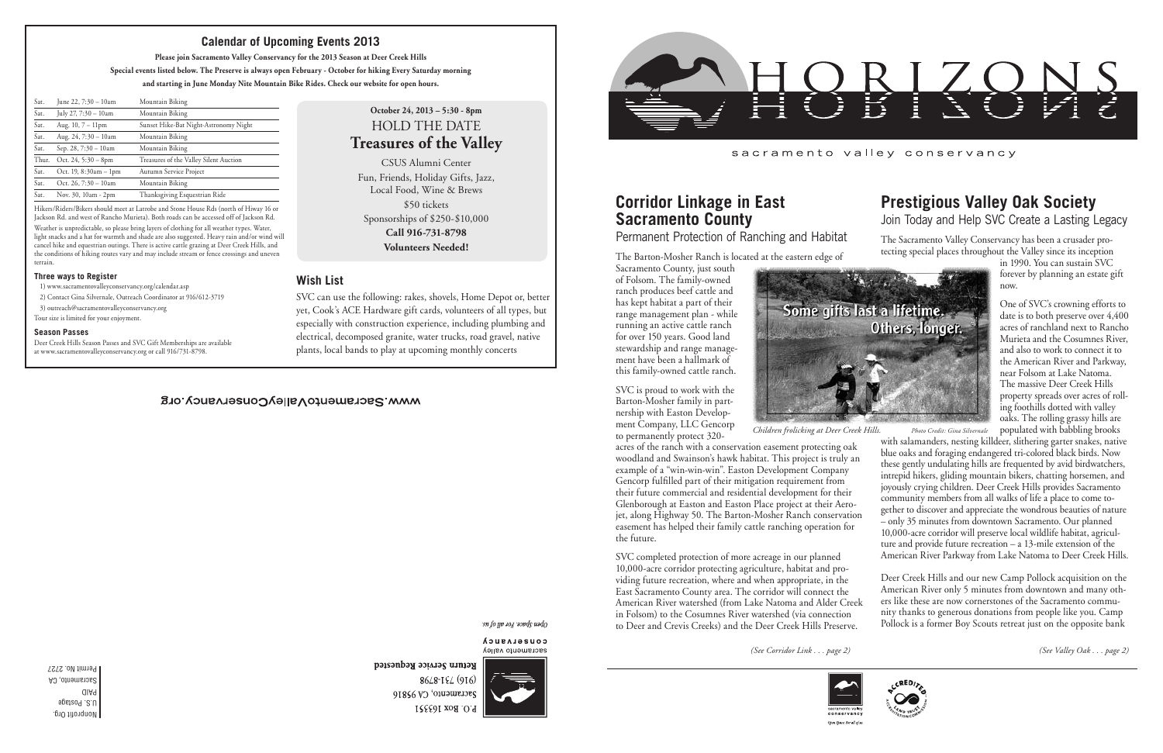Nonprofit Org. U.S. Postage PAID Sacramento, CA Permit No. 2727

#### sacramento valley conservancy

# **Corridor Linkage in East Sacramento County**

Permanent Protection of Ranching and Habitat

The Barton-Mosher Ranch is located at the eastern edge of

Sacramento County, just south of Folsom. The family-owned ranch produces beef cattle and has kept habitat a part of their range management plan - while running an active cattle ranch for over 150 years. Good land stewardship and range management have been a hallmark of this family-owned cattle ranch.

SVC is proud to work with the Barton-Mosher family in partnership with Easton Development Company, LLC Gencorp to permanently protect 320-



acres of the ranch with a conservation easement protecting oak woodland and Swainson's hawk habitat. This project is truly an example of a "win-win-win". Easton Development Company Gencorp fulfilled part of their mitigation requirement from their future commercial and residential development for their Glenborough at Easton and Easton Place project at their Aerojet, along Highway 50. The Barton-Mosher Ranch conservation easement has helped their family cattle ranching operation for the future.

SVC completed protection of more acreage in our planned 10,000-acre corridor protecting agriculture, habitat and providing future recreation, where and when appropriate, in the East Sacramento County area. The corridor will connect the American River watershed (from Lake Natoma and Alder Creek in Folsom) to the Cosumnes River watershed (via connection to Deer and Crevis Creeks) and the Deer Creek Hills Preserve.

Hikers/Riders/Bikers should meet at Latrobe and Stone House Rds (north of Hiway 16 or Jackson Rd. and west of Rancho Murieta). Both roads can be accessed off of Jackson Rd. Weather is unpredictable, so please bring layers of clothing for all weather types. Water, light snacks and a hat for warmth and shade are also suggested. Heavy rain and/or wind will cancel hike and equestrian outings. There is active cattle grazing at Deer Creek Hills, and the conditions of hiking routes vary and may include stream or fence crossings and uneven terrain.

#### **Three ways to Register**

1) www.sacramentovalleyconservancy.org/calendar.asp

2) Contact Gina Silvernale, Outreach Coordinator at 916/612-3719

3) outreach@sacramentovalleyconservancy.org

Tour size is limited for your enjoyment.

#### **Season Passes**

Deer Creek Hills Season Passes and SVC Gift Memberships are available at www.sacramentovalleyconservancy.org or call 916/731-8798.

*Children frolicking at Deer Creek Hills. Photo Credit: Gina Silvernale*

| June 22, 7:30 - 10am    | Mountain Biking                        |
|-------------------------|----------------------------------------|
| July 27, 7:30 - 10am    | Mountain Biking                        |
| Aug. $10, 7 - 11$ pm    | Sunset Hike-Bat Night-Astronomy Night  |
| Aug. $24, 7:30 - 10$ am | Mountain Biking                        |
| Sep. 28, $7:30 - 10$ am | Mountain Biking                        |
| Oct. $24, 5:30 - 8$ pm  | Treasures of the Valley Silent Auction |
| Oct. $19, 8:30am - 1pm$ | Autumn Service Project                 |
| Oct. 26, $7:30 - 10$ am | Mountain Biking                        |
| Nov. 30, 10am - 2pm     | Thanksgiving Esquestrian Ride          |
|                         |                                        |

### **Calendar of Upcoming Events 2013**

**Please join Sacramento Valley Conservancy for the 2013 Season at Deer Creek Hills**

**Special events listed below. The Preserve is always open February - October for hiking Every Saturday morning and starting in June Monday Nite Mountain Bike Rides. Check our website for open hours.**

## **Prestigious Valley Oak Society** Join Today and Help SVC Create a Lasting Legacy

The Sacramento Valley Conservancy has been a crusader protecting special places throughout the Valley since its inception

in 1990. You can sustain SVC forever by planning an estate gift now.

One of SVC's crowning efforts to date is to both preserve over 4,400 acres of ranchland next to Rancho Murieta and the Cosumnes River, and also to work to connect it to the American River and Parkway, near Folsom at Lake Natoma. The massive Deer Creek Hills property spreads over acres of rolling foothills dotted with valley oaks. The rolling grassy hills are populated with babbling brooks

with salamanders, nesting killdeer, slithering garter snakes, native blue oaks and foraging endangered tri-colored black birds. Now these gently undulating hills are frequented by avid birdwatchers, intrepid hikers, gliding mountain bikers, chatting horsemen, and joyously crying children. Deer Creek Hills provides Sacramento community members from all walks of life a place to come together to discover and appreciate the wondrous beauties of nature – only 35 minutes from downtown Sacramento. Our planned 10,000-acre corridor will preserve local wildlife habitat, agriculture and provide future recreation – a 13-mile extension of the American River Parkway from Lake Natoma to Deer Creek Hills.

Deer Creek Hills and our new Camp Pollock acquisition on the American River only 5 minutes from downtown and many others like these are now cornerstones of the Sacramento community thanks to generous donations from people like you. Camp Pollock is a former Boy Scouts retreat just on the opposite bank

*(See Valley Oak . . . page 2)*



## **October 24, 2013 – 5:30 - 8pm** HOLD THE DATE **Treasures of the Valley**

CSUS Alumni Center Fun, Friends, Holiday Gifts, Jazz, Local Food, Wine & Brews \$50 tickets Sponsorships of \$250-\$10,000 **Call 916-731-8798 Volunteers Needed!**

### **Wish List**

SVC can use the following: rakes, shovels, Home Depot or, better yet, Cook's ACE Hardware gift cards, volunteers of all types, but especially with construction experience, including plumbing and electrical, decomposed granite, water trucks, road gravel, native plants, local bands to play at upcoming monthly concerts

#### WWW.SacramentoValleyConservancy.org

sn fo yp 104 sopds uado

CONSELASUCA sacramento valley



Return Service Requested 8648-184 (916) Sacramento, CA 95816 P.O. Box 163351



*(See Corridor Link . . . page 2)*



Open Space. For all of i